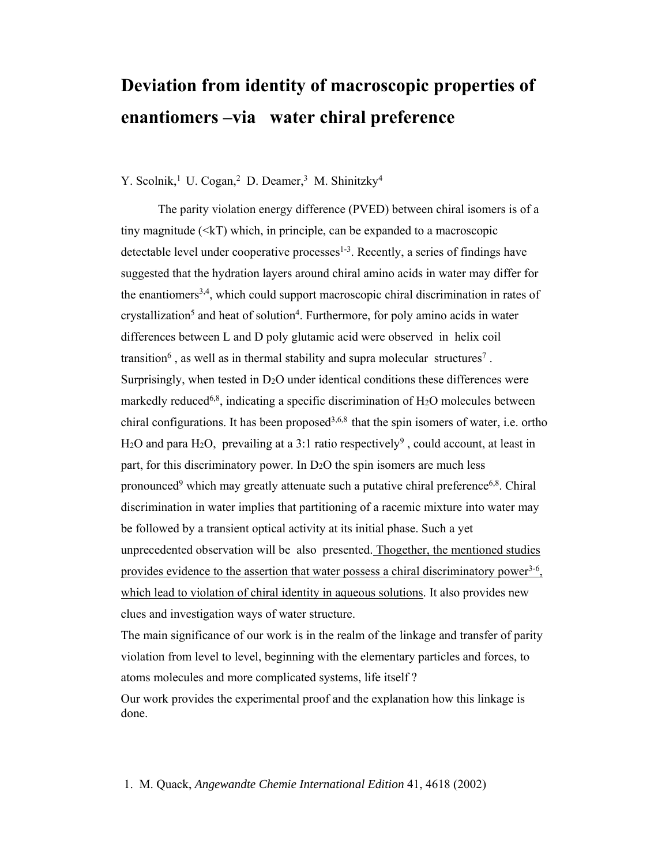## **Deviation from identity of macroscopic properties of enantiomers –via water chiral preference**

Y. Scolnik,<sup>1</sup> U. Cogan,<sup>2</sup> D. Deamer,<sup>3</sup> M. Shinitzky<sup>4</sup>

The parity violation energy difference (PVED) between chiral isomers is of a tiny magnitude  $(\leq k)$  which, in principle, can be expanded to a macroscopic detectable level under cooperative processes $1-3$ . Recently, a series of findings have suggested that the hydration layers around chiral amino acids in water may differ for the enantiomers3,4, which could support macroscopic chiral discrimination in rates of crystallization<sup>5</sup> and heat of solution<sup>4</sup>. Furthermore, for poly amino acids in water differences between L and D poly glutamic acid were observed in helix coil transition<sup>6</sup>, as well as in thermal stability and supra molecular structures<sup>7</sup>. Surprisingly, when tested in D<sub>2</sub>O under identical conditions these differences were markedly reduced<sup>6,8</sup>, indicating a specific discrimination of  $H_2O$  molecules between chiral configurations. It has been proposed<sup>3,6,8</sup> that the spin isomers of water, i.e. ortho H<sub>2</sub>O and para H<sub>2</sub>O, prevailing at a 3:1 ratio respectively<sup>9</sup>, could account, at least in part, for this discriminatory power. In  $D<sub>2</sub>O$  the spin isomers are much less pronounced<sup>9</sup> which may greatly attenuate such a putative chiral preference<sup>6,8</sup>. Chiral discrimination in water implies that partitioning of a racemic mixture into water may be followed by a transient optical activity at its initial phase. Such a yet unprecedented observation will be also presented. Thogether, the mentioned studies provides evidence to the assertion that water possess a chiral discriminatory power<sup>3-6</sup>, which lead to violation of chiral identity in aqueous solutions. It also provides new clues and investigation ways of water structure.

The main significance of our work is in the realm of the linkage and transfer of parity violation from level to level, beginning with the elementary particles and forces, to atoms molecules and more complicated systems, life itself ?

Our work provides the experimental proof and the explanation how this linkage is done.

1. M. Quack, *Angewandte Chemie International Edition* 41, 4618 (2002)